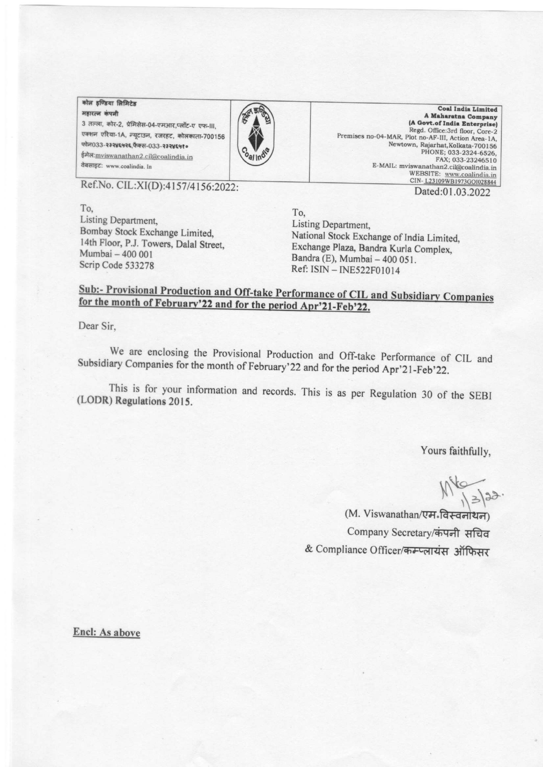## कोल इण्डिया लिमिटेड

महारत्न कंपनी 3 तल्ला, कोर-2, प्रेमिसेस-04-एमआर,प्लॉट-ए एफ-III, एक्शन एरिया-1A, न्यूटाउन, रजरहट, कोलकाता-700156 फोन033-२३२४६५२६,फैक्स-033-२३२४६५१० ईमेल: mviswanathan2.cil@coalindia.in वेबसाइट: www.coalindia. In



Coal India Limited A Maharatna Company (A Govt.of India Enterprise) Regd. Office:3rd floor, Core-2 Premises no-04-MAR, Plot no-AF-III, Action Area-1A, Newtown, Rajarhat, Kolkata-700156 PHONE; 033-2324-6526. FAX: 033-23246510 E-MAIL: mviswanathan2.cil $@$ coalindia in WEBSITE: www.coalindia.in<br>WEBSITE: www.coalindia.in<br>CIN-L23109WB1973GO1028844 Dated:01.03.2022

Ref.No. CIL:XI(D):4157/4156:2022:

To. Listing Department. Bombay Stock Exchange Limited, 14th Floor, P.J. Towers, Dalal Street, Mumbai - 400 001 Scrip Code 533278

To. Listing Department, National Stock Exchange of India Limited, Exchange Plaza, Bandra Kurla Complex, Bandra (E), Mumbai - 400 051. Ref: ISIN - INE522F01014

## Sub:- Provisional Production and Off-take Performance of CIL and Subsidiary Companies for the month of February'22 and for the period Apr'21-Feb'22.

Dear Sir,

We are enclosing the Provisional Production and Off-take Performance of CIL and Subsidiary Companies for the month of February'22 and for the period Apr'21-Feb'22.

This is for your information and records. This is as per Regulation 30 of the SEBI (LODR) Regulations 2015.

Yours faithfully,

 $M_{13/32}$ 

(M. Viswanathan/एम.विस्वनोथन) Company Secretary/कंपनी सचिव & Compliance Officer/कम्प्लायंस ऑफिसर

Encl: As above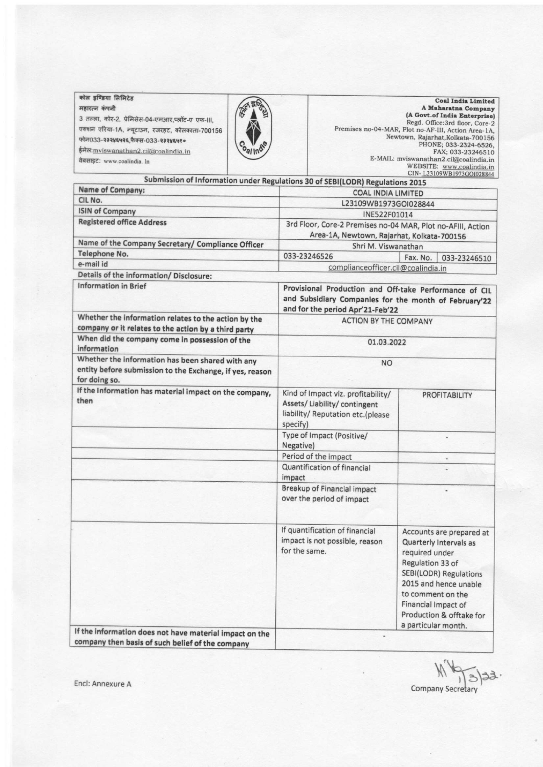| कोल इण्डिया लिमिटेड                               | <b>Coal India Limited</b>                           |
|---------------------------------------------------|-----------------------------------------------------|
| महारत्न कंपनी                                     | A Maharatna Company                                 |
| 3 तल्ला, कोर-2, प्रेमिसेस-04-एमआर,प्लॉट-ए एफ-III, | (A Govt.of India Enterprise)                        |
|                                                   | Regd. Office: 3rd floor, Core-2                     |
| एक्शन एरिया-1A, न्यूटाउन, रजरहट, कोलकाता-700156   | Premises no-04-MAR, Plot no-AF-III, Action Area-1A, |
| फोन033-२३२४६५२६,फैक्स-033-२३२४६५१०                | Newtown, Rajarhat, Kolkata-700156                   |
|                                                   | PHONE; 033-2324-6526,                               |
| ईमेल: mviswanathan2.cil@coalindia.in              | FAX; 033-23246510                                   |
| वेबसाइट: www.coalindia. In                        | E-MAIL: mviswanathan2.cil@coalindia.in              |
|                                                   | WEBSITE: www.coalindia.in                           |

CIN-L23109WB1973GOI028844 Submission of Information under Regulations 30 of SEBI(LODR) Regulations 2015 Name of Company: **COAL INDIA LIMITED** CIL No. L23109WB1973GOI028844 **ISIN of Company** INE522F01014 **Registered office Address** 3rd Floor, Core-2 Premises no-04 MAR, Plot no-AFIII, Action Area-1A, Newtown, Rajarhat, Kolkata-700156 Name of the Company Secretary/ Compliance Officer Shri M. Viswanathan Telephone No. 033-23246526 Fax. No. 033-23246510 e-mail id complianceofficer.cil@coalindia.in Details of the information/ Disclosure: **Information in Brief** Provisional Production and Off-take Performance of CIL and Subsidiary Companies for the month of February'22 and for the period Apr'21-Feb'22 Whether the information relates to the action by the **ACTION BY THE COMPANY** company or it relates to the action by a third party When did the company come in possession of the 01.03.2022 information Whether the information has been shared with any **NO** entity before submission to the Exchange, if yes, reason for doing so. If the Information has material impact on the company, Kind of Impact viz. profitability/ PROFITABILITY then Assets/Liability/contingent liability/ Reputation etc.(please specify) Type of Impact (Positive/ ú, Negative) Period of the impact Quantification of financial ÷ impact Breakup of Financial impact u, over the period of impact If quantification of financial Accounts are prepared at impact is not possible, reason Quarterly Intervals as for the same. required under Regulation 33 of SEBI(LODR) Regulations 2015 and hence unable to comment on the Financial Impact of Production & offtake for a particular month.

If the information does not have material impact on the company then basis of such belief of the company

Encl: Annexure A

**Company Secretary**